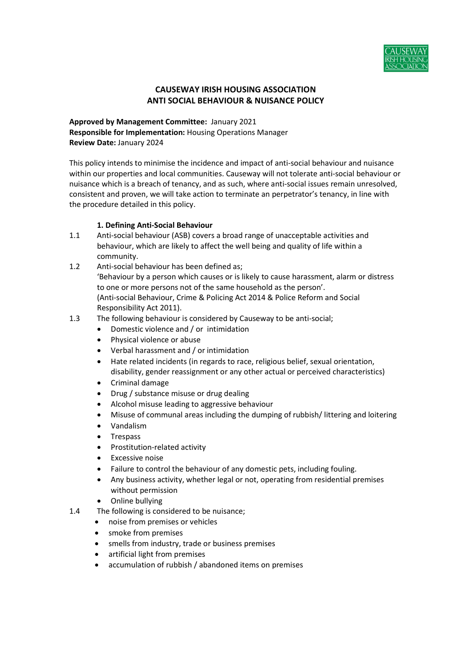

# CAUSEWAY IRISH HOUSING ASSOCIATION ANTI SOCIAL BEHAVIOUR & NUISANCE POLICY

Approved by Management Committee: January 2021 Responsible for Implementation: Housing Operations Manager Review Date: January 2024

This policy intends to minimise the incidence and impact of anti-social behaviour and nuisance within our properties and local communities. Causeway will not tolerate anti-social behaviour or nuisance which is a breach of tenancy, and as such, where anti-social issues remain unresolved, consistent and proven, we will take action to terminate an perpetrator's tenancy, in line with the procedure detailed in this policy.

## 1. Defining Anti-Social Behaviour

- 1.1 Anti-social behaviour (ASB) covers a broad range of unacceptable activities and behaviour, which are likely to affect the well being and quality of life within a community.
- 1.2 Anti-social behaviour has been defined as; 'Behaviour by a person which causes or is likely to cause harassment, alarm or distress to one or more persons not of the same household as the person'. (Anti-social Behaviour, Crime & Policing Act 2014 & Police Reform and Social Responsibility Act 2011).
- 1.3 The following behaviour is considered by Causeway to be anti-social;
	- Domestic violence and / or intimidation
	- Physical violence or abuse
	- Verbal harassment and / or intimidation
	- Hate related incidents (in regards to race, religious belief, sexual orientation, disability, gender reassignment or any other actual or perceived characteristics)
	- Criminal damage
	- Drug / substance misuse or drug dealing
	- Alcohol misuse leading to aggressive behaviour
	- Misuse of communal areas including the dumping of rubbish/ littering and loitering
	- Vandalism
	- Trespass
	- Prostitution-related activity
	- Excessive noise
	- Failure to control the behaviour of any domestic pets, including fouling.
	- Any business activity, whether legal or not, operating from residential premises without permission
	- Online bullying
- 1.4 The following is considered to be nuisance;
	- noise from premises or vehicles
	- smoke from premises
	- smells from industry, trade or business premises
	- artificial light from premises
	- accumulation of rubbish / abandoned items on premises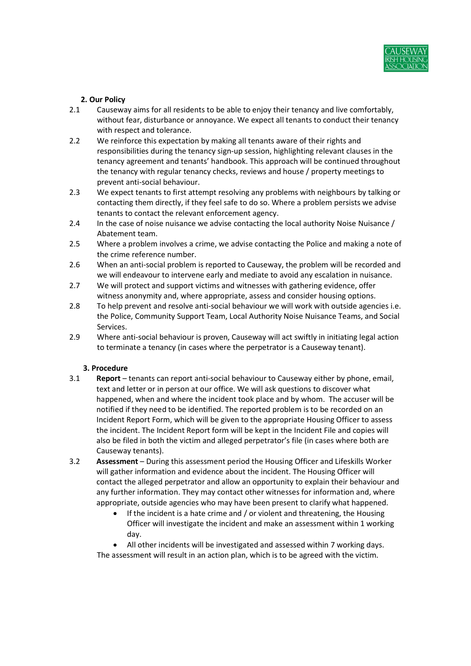

# 2. Our Policy

- 2.1 Causeway aims for all residents to be able to enjoy their tenancy and live comfortably, without fear, disturbance or annoyance. We expect all tenants to conduct their tenancy with respect and tolerance.
- 2.2 We reinforce this expectation by making all tenants aware of their rights and responsibilities during the tenancy sign-up session, highlighting relevant clauses in the tenancy agreement and tenants' handbook. This approach will be continued throughout the tenancy with regular tenancy checks, reviews and house / property meetings to prevent anti-social behaviour.
- 2.3 We expect tenants to first attempt resolving any problems with neighbours by talking or contacting them directly, if they feel safe to do so. Where a problem persists we advise tenants to contact the relevant enforcement agency.
- 2.4 In the case of noise nuisance we advise contacting the local authority Noise Nuisance / Abatement team.
- 2.5 Where a problem involves a crime, we advise contacting the Police and making a note of the crime reference number.
- 2.6 When an anti-social problem is reported to Causeway, the problem will be recorded and we will endeavour to intervene early and mediate to avoid any escalation in nuisance.
- 2.7 We will protect and support victims and witnesses with gathering evidence, offer witness anonymity and, where appropriate, assess and consider housing options.
- 2.8 To help prevent and resolve anti-social behaviour we will work with outside agencies i.e. the Police, Community Support Team, Local Authority Noise Nuisance Teams, and Social Services.
- 2.9 Where anti-social behaviour is proven, Causeway will act swiftly in initiating legal action to terminate a tenancy (in cases where the perpetrator is a Causeway tenant).

#### 3. Procedure

- 3.1 Report tenants can report anti-social behaviour to Causeway either by phone, email, text and letter or in person at our office. We will ask questions to discover what happened, when and where the incident took place and by whom. The accuser will be notified if they need to be identified. The reported problem is to be recorded on an Incident Report Form, which will be given to the appropriate Housing Officer to assess the incident. The Incident Report form will be kept in the Incident File and copies will also be filed in both the victim and alleged perpetrator's file (in cases where both are Causeway tenants).
- 3.2 Assessment During this assessment period the Housing Officer and Lifeskills Worker will gather information and evidence about the incident. The Housing Officer will contact the alleged perpetrator and allow an opportunity to explain their behaviour and any further information. They may contact other witnesses for information and, where appropriate, outside agencies who may have been present to clarify what happened.
	- If the incident is a hate crime and / or violent and threatening, the Housing Officer will investigate the incident and make an assessment within 1 working day.
	- All other incidents will be investigated and assessed within 7 working days. The assessment will result in an action plan, which is to be agreed with the victim.